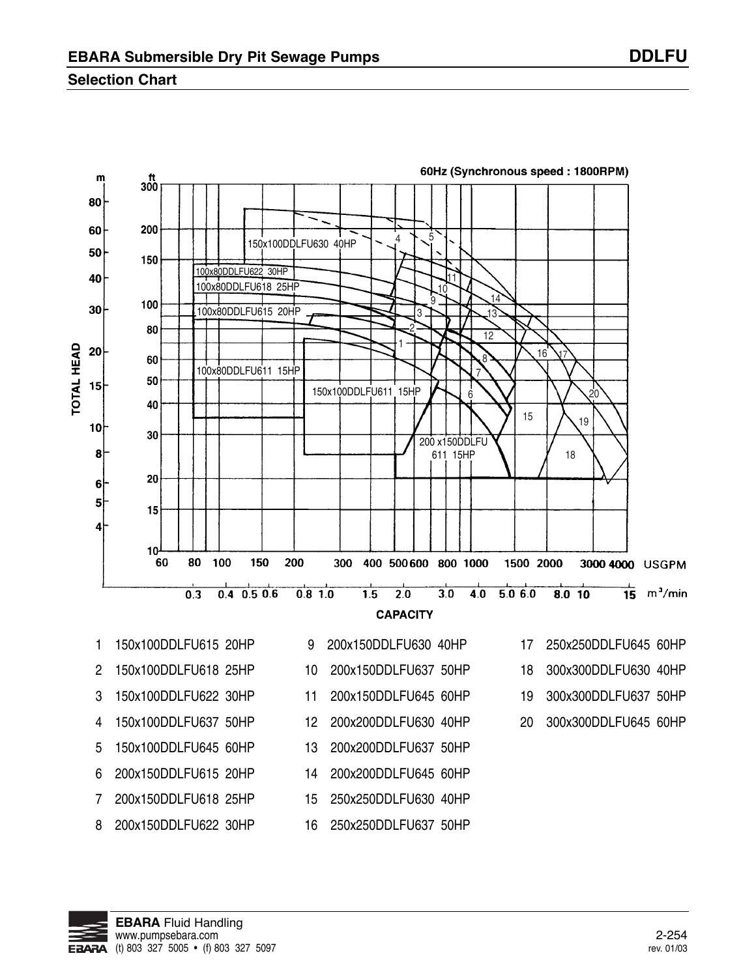### **Selection Chart**



**EBARA** Fluid Handling www.pumpsebara.com 2-254 FRARA (t) 803 327 5005 • (f) 803 327 5097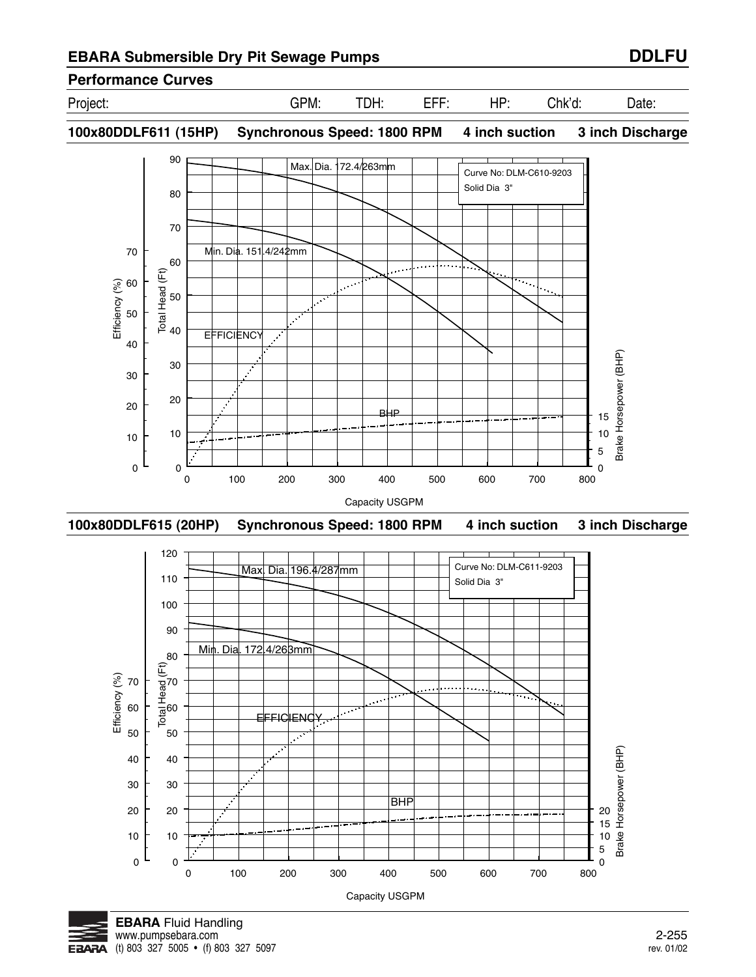**100x80DDLF611 (15HP) Synchronous Speed: 1800 RPM 4 inch suction 3 inch Discharge**

90 Max. Dia. 172.4/263mm Curve No: DLM-C610-9203 Solid Dia 3" 80 70 70 Min. Dia. 151.4/242mm 60 Total Head (Ft) Efficiency (%) 60  $\mathcal{L}^{(1)}$ 50  $\overline{\cdots}$ 50  $\mathcal{S}^{\star}$ 40 **EFFICIENCY**  $\mathcal{L}$ 40 Brake Horsepower (BHP) Brake Horsepower (BHP) 30  $\mathcal{L}$ 30 20 20 BHP 15 10 10 10 5 0 0 0 0 100 200 300 400 500 600 700 800 Capacity USGPM







Project: GPM: TDH: EFF: HP: Chk'd: Date: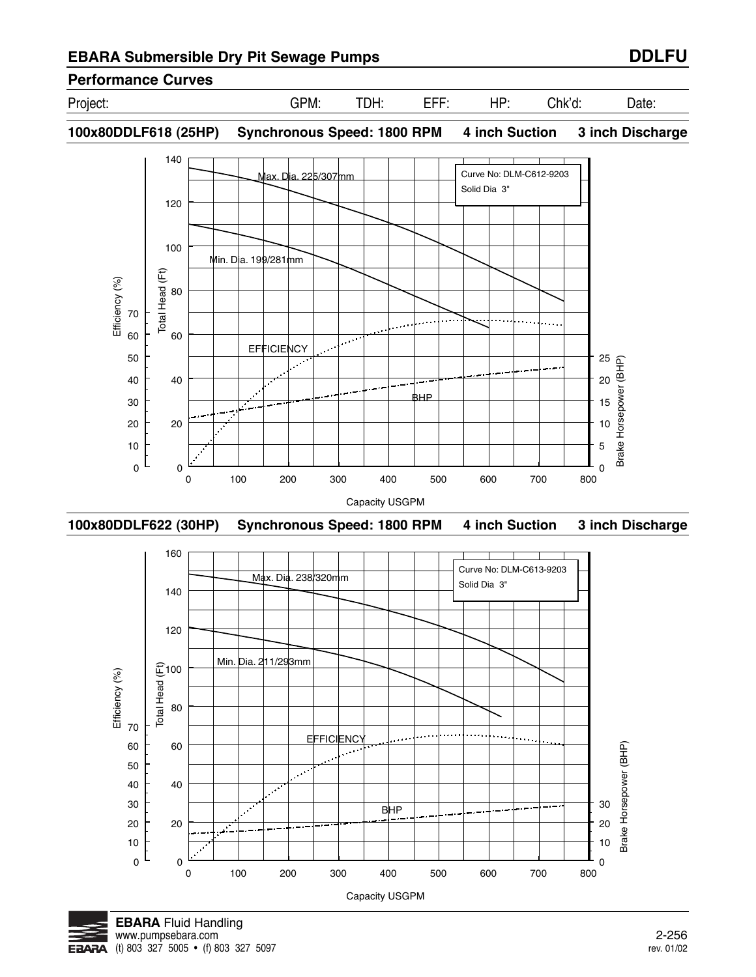# **Performance Curves**

Project: GPM: TDH: EFF: HP: Chk'd: Date:

**100x80DDLF618 (25HP) Synchronous Speed: 1800 RPM 4 inch Suction 3 inch Discharge**







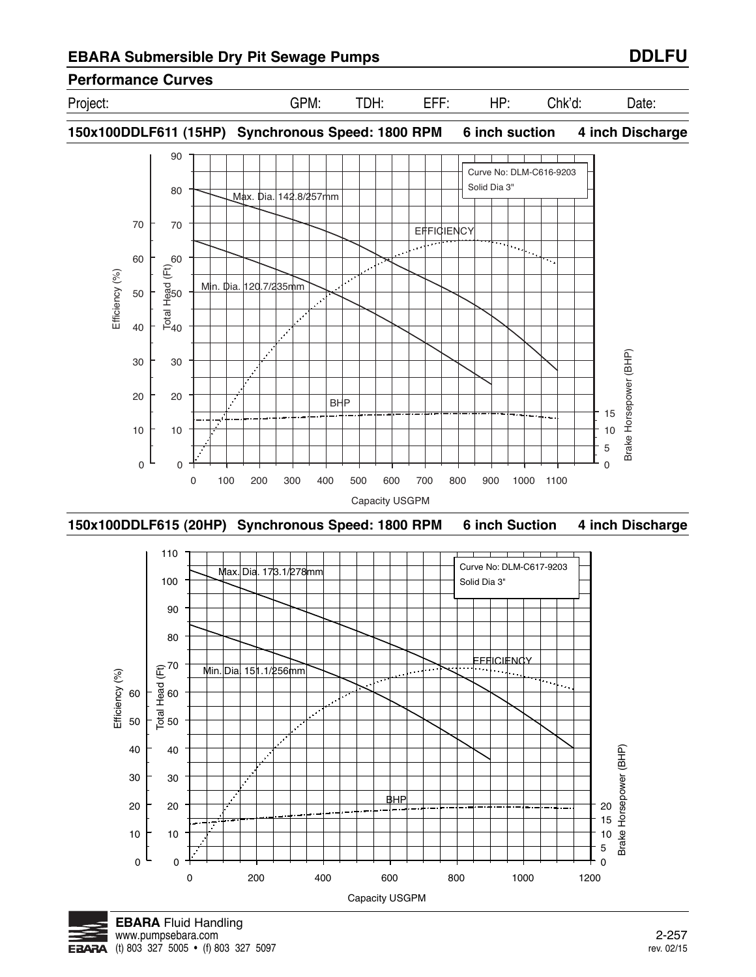Project: GPM: TDH: EFF: HP: Chk'd: Date:

**150x100DDLF611 (15HP) Synchronous Speed: 1800 RPM 6 inch suction 4 inch Discharge**



**150x100DDLF615 (20HP) Synchronous Speed: 1800 RPM 6 inch Suction 4 inch Discharge**



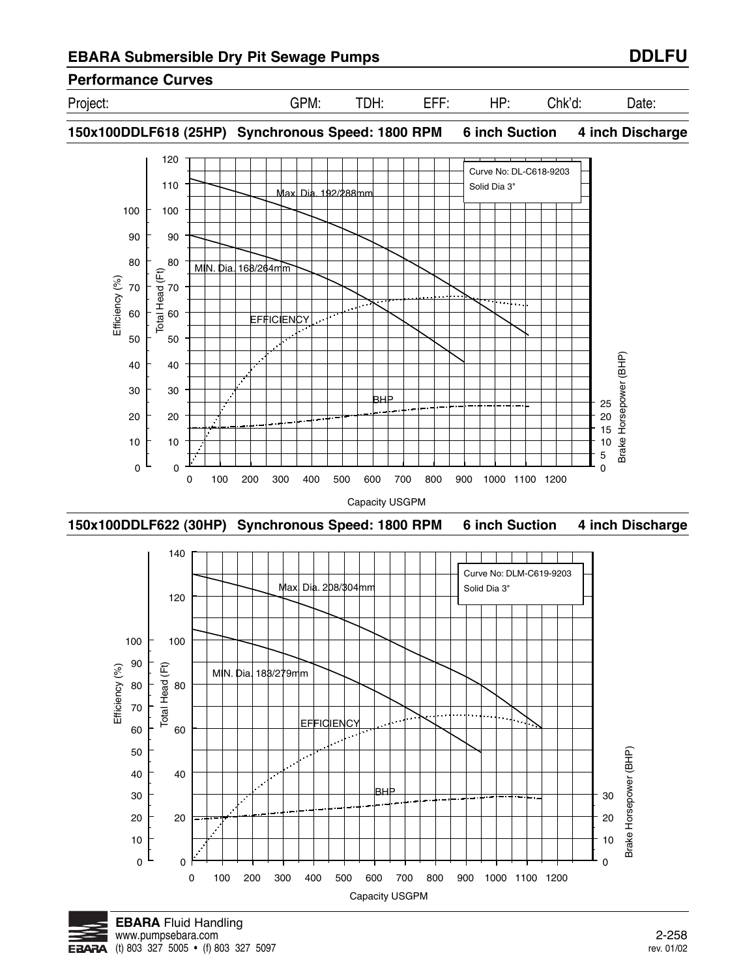Project: GPM: TDH: EFF: HP: Chk'd: Date:

**150x100DDLF618 (25HP) Synchronous Speed: 1800 RPM 6 inch Suction 4 inch Discharge**



**150x100DDLF622 (30HP) Synchronous Speed: 1800 RPM 6 inch Suction 4 inch Discharge**



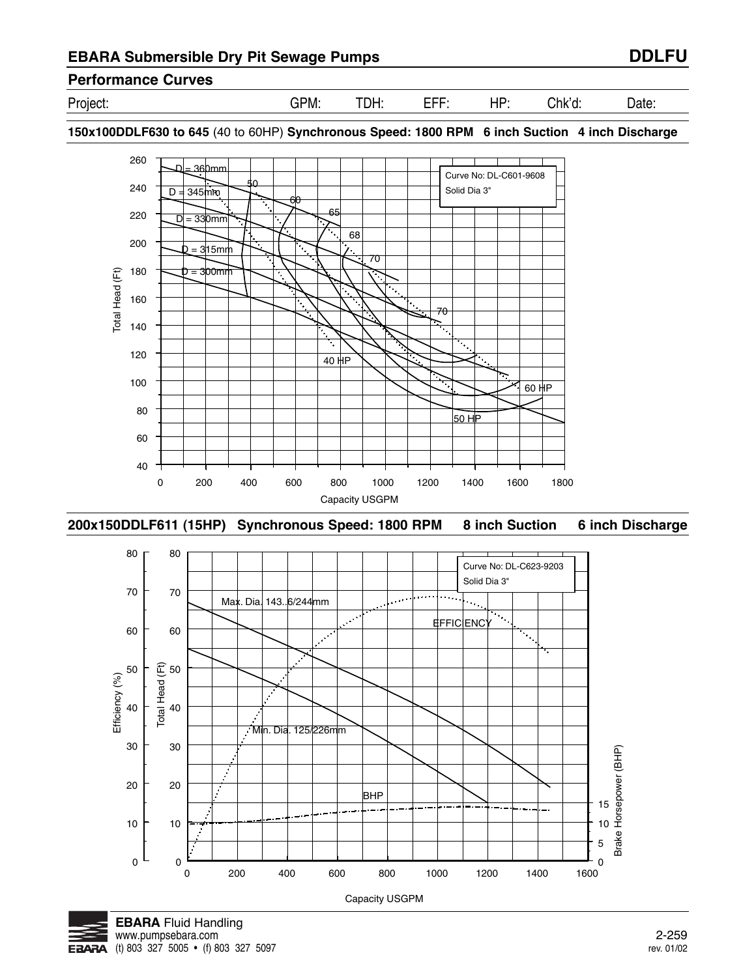Project: GPM: TDH: EFF: HP: Chk'd: Date:

**150x100DDLF630 to 645** (40 to 60HP) **Synchronous Speed: 1800 RPM 6 inch Suction 4 inch Discharge**



**200x150DDLF611 (15HP) Synchronous Speed: 1800 RPM 8 inch Suction 6 inch Discharge**



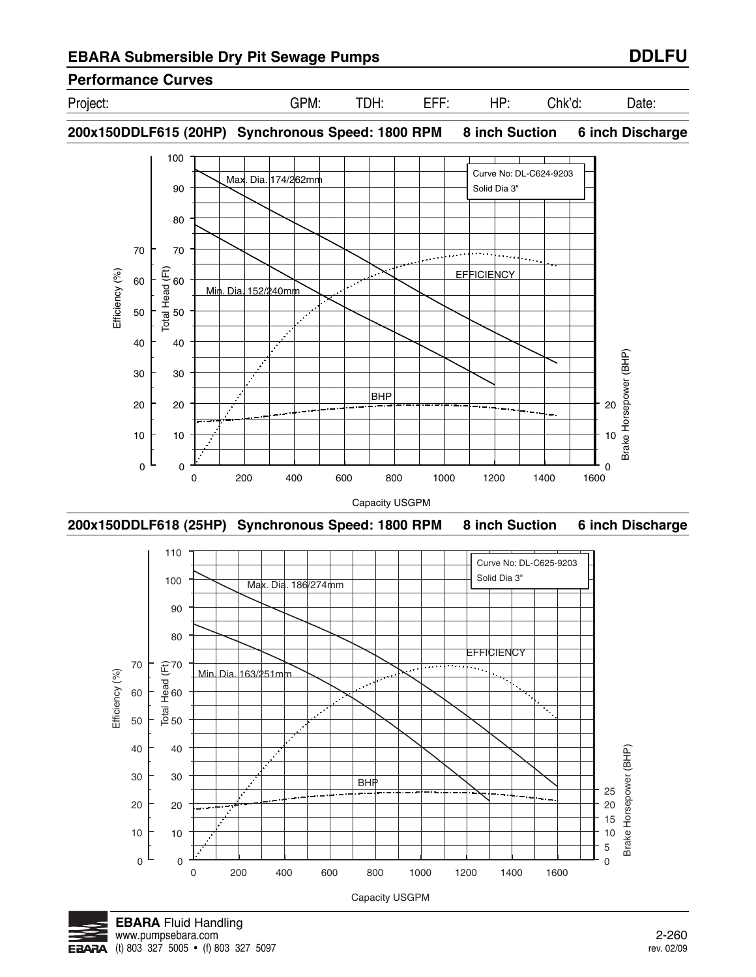Project: GPM: TDH: EFF: HP: Chk'd: Date:

**200x150DDLF615 (20HP) Synchronous Speed: 1800 RPM 8 inch Suction 6 inch Discharge**



**200x150DDLF618 (25HP) Synchronous Speed: 1800 RPM 8 inch Suction 6 inch Discharge**



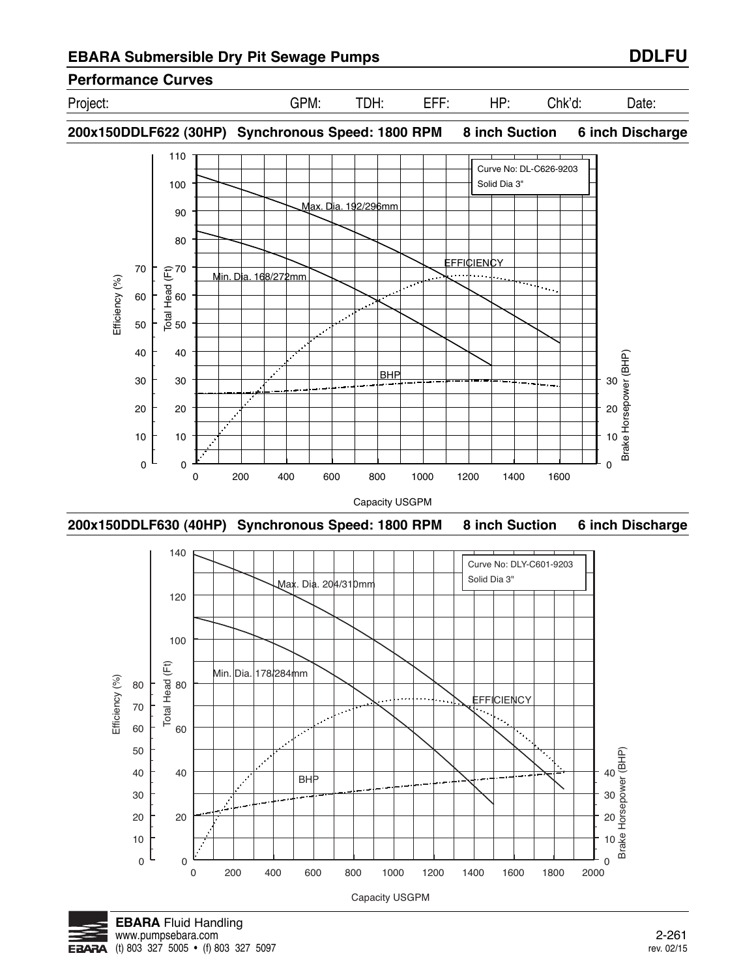

**200x150DDLF622 (30HP) Synchronous Speed: 1800 RPM 8 inch Suction 6 inch Discharge**



**200x150DDLF630 (40HP) Synchronous Speed: 1800 RPM 8 inch Suction 6 inch Discharge**



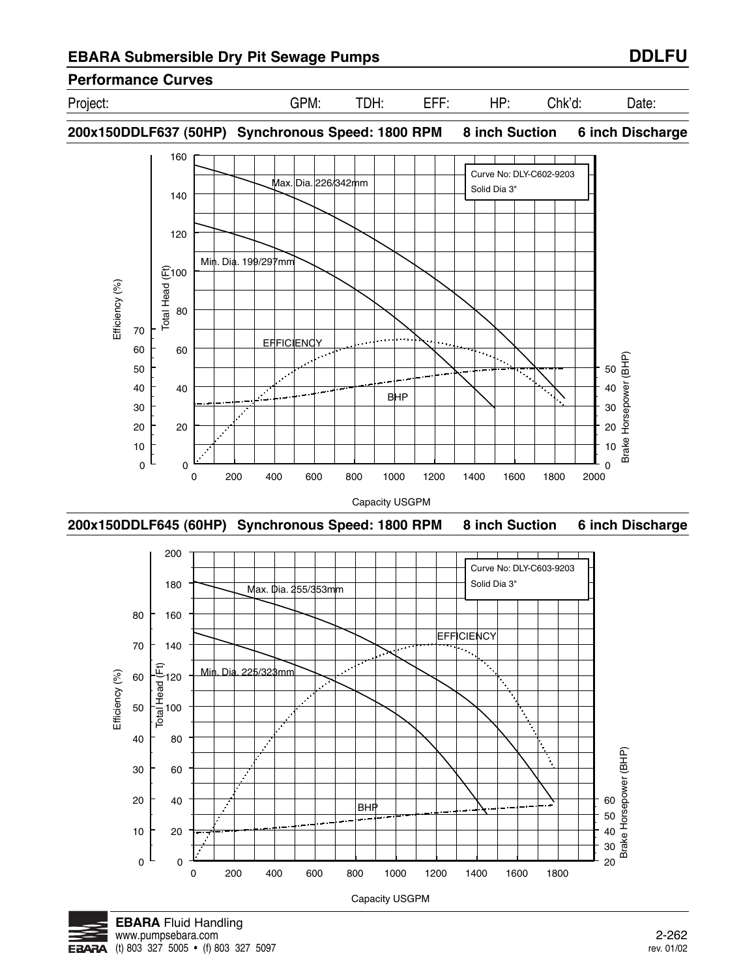Project: GPM: TDH: EFF: HP: Chk'd: Date:

**200x150DDLF637 (50HP) Synchronous Speed: 1800 RPM 8 inch Suction 6 inch Discharge**



**200x150DDLF645 (60HP) Synchronous Speed: 1800 RPM 8 inch Suction 6 inch Discharge**



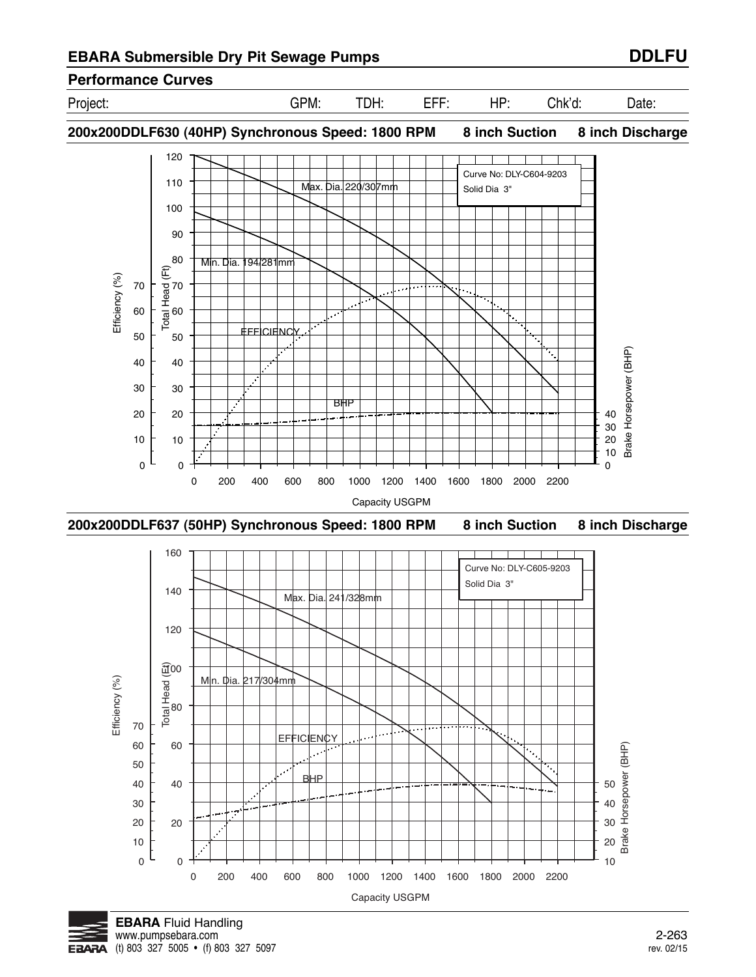

# **Performance Curves**

Project: GPM: TDH: EFF: HP: Chk'd: Date:

**200x200DDLF630 (40HP) Synchronous Speed: 1800 RPM 8 inch Suction 8 inch Discharge**







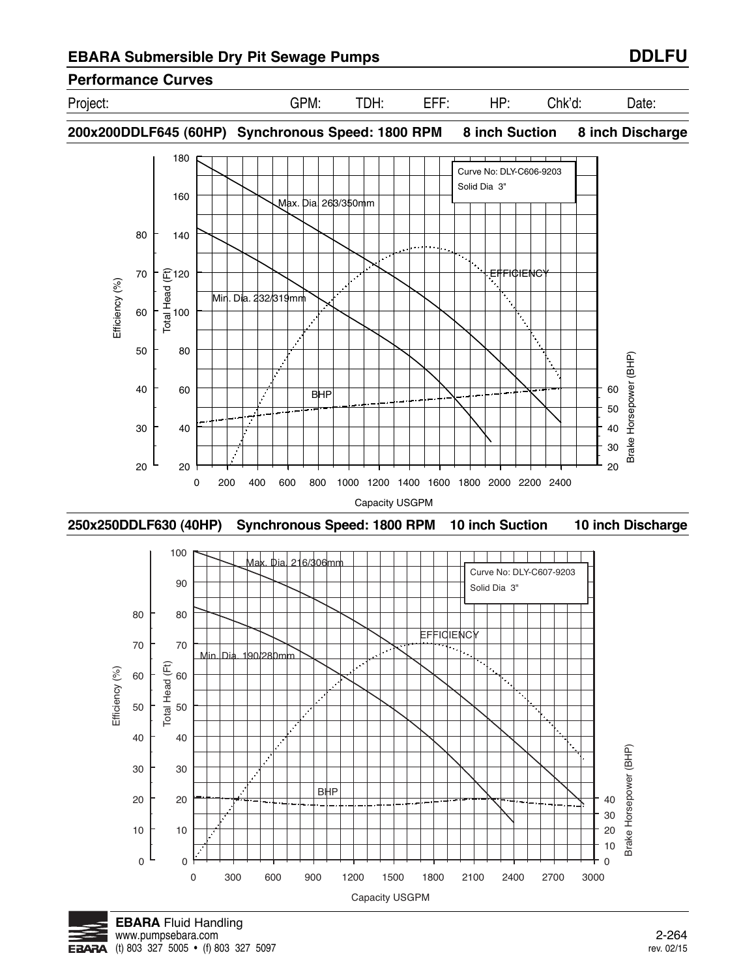# **Performance Curves**

Project: GPM: TDH: EFF: HP: Chk'd: Date:

**200x200DDLF645 (60HP) Synchronous Speed: 1800 RPM 8 inch Suction 8 inch Discharge**



**250x250DDLF630 (40HP) Synchronous Speed: 1800 RPM 10 inch Suction 10 inch Discharge**



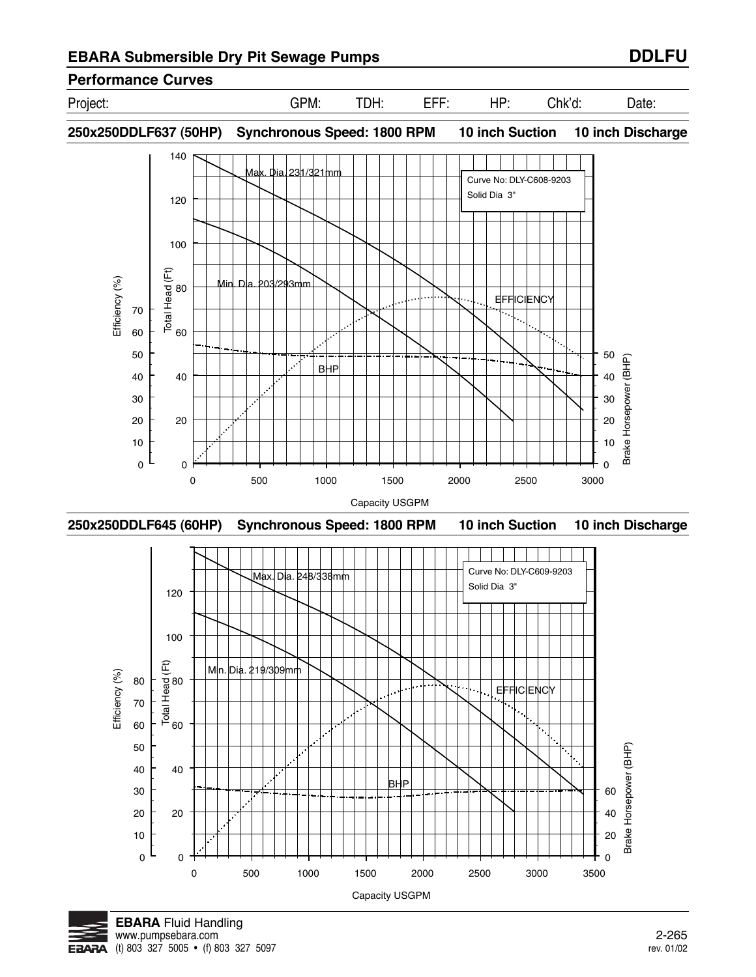# **Performance Curves**

Project: GPM: TDH: EFF: HP: Chk'd: Date:

**250x250DDLF637 (50HP) Synchronous Speed: 1800 RPM 10 inch Suction 10 inch Discharge**







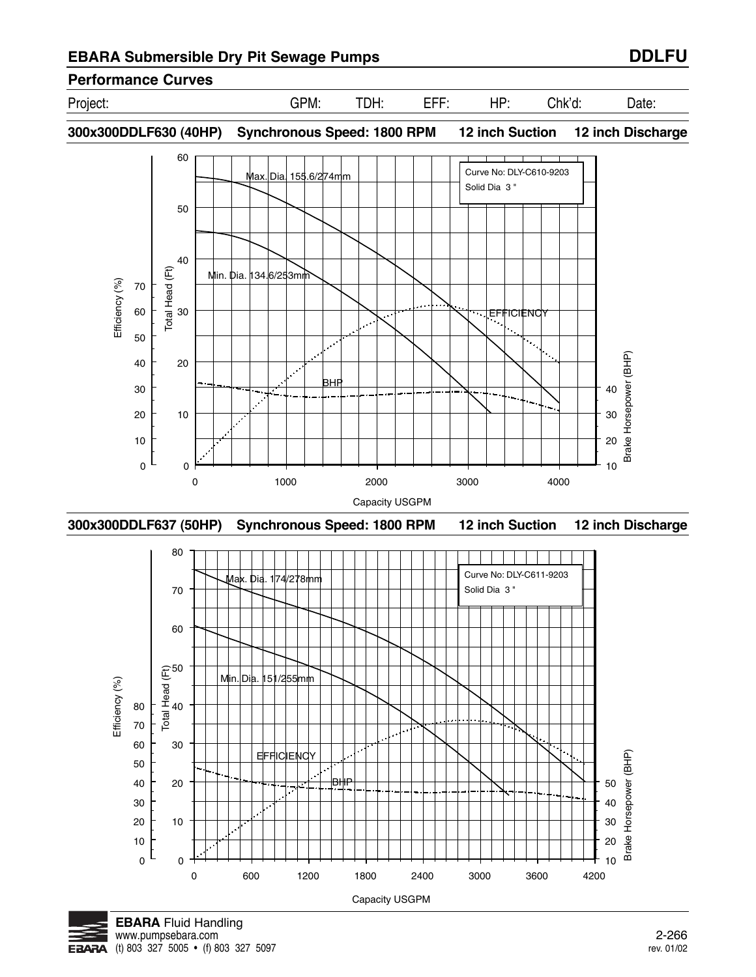# **Performance Curves**

Project: GPM: TDH: EFF: HP: Chk'd: Date:

**300x300DDLF630 (40HP) Synchronous Speed: 1800 RPM 12 inch Suction 12 inch Discharge**